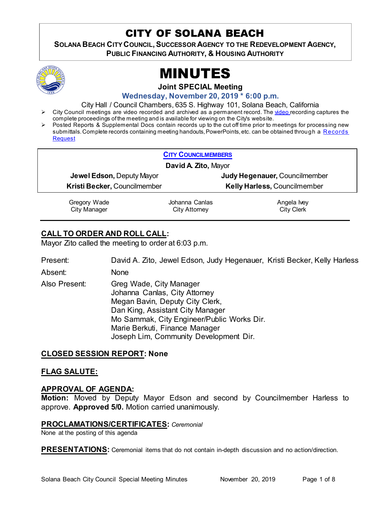## CITY OF SOLANA BEACH

SOLANA BEACH CITY COUNCIL, SUCCESSOR AGENCY TO THE REDEVELOPMENT AGENCY, **PUBLIC FINANCING AUTHORITY, & HOUSING AUTHORITY** 



# MINUTES

**Joint SPECIAL Meeting**

**Wednesday, November 20, 2019 \* 6:00 p.m.** 

City Hall / Council Chambers, 635 S. Highway 101, Solana Beach, California

- City Council meetings are [video re](https://solanabeach.12milesout.com/#page=1)corded and archived as a permanent record. The video recording captures the complete proceedings of the meeting and is available for viewing on the City's website.
- Posted Reports & Supplemental Docs contain records up to the cut off time prior to meetings for processing new submittals. Complete records containing meeting handouts, PowerPoints, etc. can be obtained through a Records **[Request](http://www.ci.solana-beach.ca.us/index.asp?SEC=F5D45D10-70CE-4291-A27C-7BD633FC6742&Type=B_BASIC)**

| <b>CITY COUNCILMEMBERS</b>       |                                        |                                     |
|----------------------------------|----------------------------------------|-------------------------------------|
| David A Zito, Mayor              |                                        |                                     |
| <b>Jewel Edson, Deputy Mayor</b> |                                        | Judy Hegenauer, Councilmember       |
| Kristi Becker, Councilmember     |                                        | <b>Kelly Harless, Councilmember</b> |
| Gregory Wade<br>City Manager     | Johanna Canlas<br><b>City Attorney</b> | Angela Ivey<br><b>City Clerk</b>    |

## **CALL TO ORDER AND ROLL CALL:**

Mayor Zito called the meeting to order at 6:03 p.m.

Present: David A. Zito, Jewel Edson, Judy Hegenauer, Kristi Becker, Kelly Harless

Absent: None

Also Present: Greg Wade, City Manager Johanna Canlas, City Attorney Megan Bavin, Deputy City Clerk, Dan King, Assistant City Manager Mo Sammak, City Engineer/Public Works Dir. Marie Berkuti, Finance Manager Joseph Lim, Community Development Dir.

## **CLOSED SESSION REPORT: None**

## **FLAG SALUTE:**

## **APPROVAL OF AGENDA:**

**Motion:** Moved by Deputy Mayor Edson and second by Councilmember Harless to approve. **Approved 5/0.** Motion carried unanimously.

#### **PROCLAMATIONS/CERTIFICATES:** *Ceremonial*

None at the posting of this agenda

**PRESENTATIONS:** Ceremonial items that do not contain in-depth discussion and no action/direction.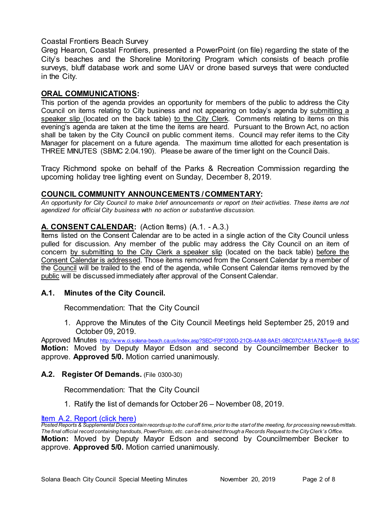## Coastal Frontiers Beach Survey

Greg Hearon, Coastal Frontiers, presented a PowerPoint (on file) regarding the state of the City's beaches and the Shoreline Monitoring Program which consists of beach profile surveys, bluff database work and some UAV or drone based surveys that were conducted in the City.

## **ORAL COMMUNICATIONS:**

This portion of the agenda provides an opportunity for members of the public to address the City Council on items relating to City business and not appearing on today's agenda by submitting a speaker slip (located on the back table) to the City Clerk. Comments relating to items on this evening's agenda are taken at the time the items are heard. Pursuant to the Brown Act, no action shall be taken by the City Council on public comment items. Council may refer items to the City Manager for placement on a future agenda. The maximum time allotted for each presentation is THREE MINUTES (SBMC 2.04.190). Please be aware of the timer light on the Council Dais.

Tracy Richmond spoke on behalf of the Parks & Recreation Commission regarding the upcoming holiday tree lighting event on Sunday, December 8, 2019.

## **COUNCIL COMMUNITY ANNOUNCEMENTS / COMMENTARY:**

*An opportunity for City Council to make brief announcements or report on their activities. These items are not agendized for official City business with no action or substantive discussion.* 

## **A. CONSENT CALENDAR:** (Action Items) (A.1. - A.3.)

Items listed on the Consent Calendar are to be acted in a single action of the City Council unless pulled for discussion. Any member of the public may address the City Council on an item of concern by submitting to the City Clerk a speaker slip (located on the back table) before the Consent Calendar is addressed. Those items removed from the Consent Calendar by a member of the Council will be trailed to the end of the agenda, while Consent Calendar items removed by the public will be discussed immediately after approval of the Consent Calendar.

## **A.1. Minutes of the City Council.**

Recommendation: That the City Council

1. Approve the Minutes of the City Council Meetings held September 25, 2019 and October 09, 2019.

Approved Minutes [http://www.ci.solana-beach.ca.us/index.asp?SEC=F0F1200D-21C6-4A88-8AE1-0BC07C1A81A7&Type=B\\_BASIC](http://www.ci.solana-beach.ca.us/index.asp?SEC=F0F1200D-21C6-4A88-8AE1-0BC07C1A81A7&Type=B_BASIC) **Motion:** Moved by Deputy Mayor Edson and second by Councilmember Becker to approve. **Approved 5/0.** Motion carried unanimously.

## **A.2. Register Of Demands.** (File 0300-30)

Recommendation: That the City Council

1. Ratify the list of demands for October 26 – November 08, 2019.

### **Item A.2. Report (click here)**

*Posted Reports & Supplemental Docs contain records up to the cut off time, prior to the start of the meeting, for processing new submittals. The final official record containing handouts, PowerPoints, etc. can be obtained through a Records Request to the City Clerk's Office.* **Motion:** Moved by Deputy Mayor Edson and second by Councilmember Becker to approve. **Approved 5/0.** Motion carried unanimously.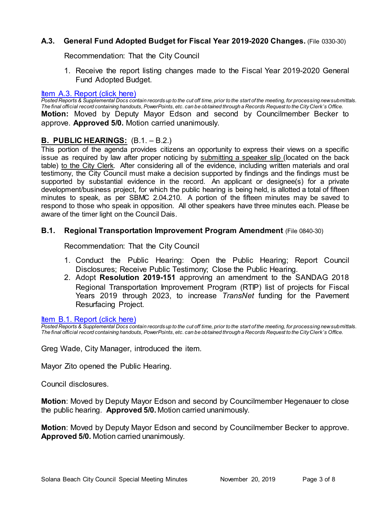## **A.3. General Fund Adopted Budget for Fiscal Year 2019-2020 Changes.** (File 0330-30)

Recommendation: That the City Council

1. Receive the report listing changes made to the Fiscal Year 2019-2020 General Fund Adopted Budget.

#### [Item A.3. Report \(click here\)](https://solanabeach.govoffice3.com/vertical/Sites/%7B840804C2-F869-4904-9AE3-720581350CE7%7D/uploads/Item_A.3._Report_(click_here)_11-20-19_-_O.pdf)

*Posted Reports & Supplemental Docs contain records up to the cut off time, prior to the start of the meeting, for processing new submittals. The final official record containing handouts, PowerPoints, etc. can be obtained through a Records Request to the City Clerk's Office.* **Motion:** Moved by Deputy Mayor Edson and second by Councilmember Becker to approve. **Approved 5/0.** Motion carried unanimously.

## **B. PUBLIC HEARINGS:** (B.1. – B.2.)

This portion of the agenda provides citizens an opportunity to express their views on a specific issue as required by law after proper noticing by submitting a speaker slip (located on the back table) to the City Clerk. After considering all of the evidence, including written materials and oral testimony, the City Council must make a decision supported by findings and the findings must be supported by substantial evidence in the record. An applicant or designee(s) for a private development/business project, for which the public hearing is being held, is allotted a total of fifteen minutes to speak, as per SBMC 2.04.210. A portion of the fifteen minutes may be saved to respond to those who speak in opposition. All other speakers have three minutes each. Please be aware of the timer light on the Council Dais.

#### **B.1. Regional Transportation Improvement Program Amendment** (File 0840-30)

Recommendation: That the City Council

- 1. Conduct the Public Hearing: Open the Public Hearing; Report Council Disclosures; Receive Public Testimony; Close the Public Hearing.
- 2. Adopt **Resolution 2019-151** approving an amendment to the SANDAG 2018 Regional Transportation Improvement Program (RTIP) list of projects for Fiscal Years 2019 through 2023, to increase *TransNet* funding for the Pavement Resurfacing Project.

#### [Item B.1. Report \(click here\)](https://solanabeach.govoffice3.com/vertical/Sites/%7B840804C2-F869-4904-9AE3-720581350CE7%7D/uploads/Item_B.1._Report_(click_here)_11-20-19_-_O.pdf)

*Posted Reports & Supplemental Docs contain records up to the cut off time, prior to the start of the meeting, for processing new submittals. The final official record containing handouts, PowerPoints, etc. can be obtained through a Records Request to the City Clerk's Office.*

Greg Wade, City Manager, introduced the item.

Mayor Zito opened the Public Hearing.

Council disclosures.

**Motion**: Moved by Deputy Mayor Edson and second by Councilmember Hegenauer to close the public hearing. **Approved 5/0.** Motion carried unanimously.

**Motion**: Moved by Deputy Mayor Edson and second by Councilmember Becker to approve. **Approved 5/0.** Motion carried unanimously.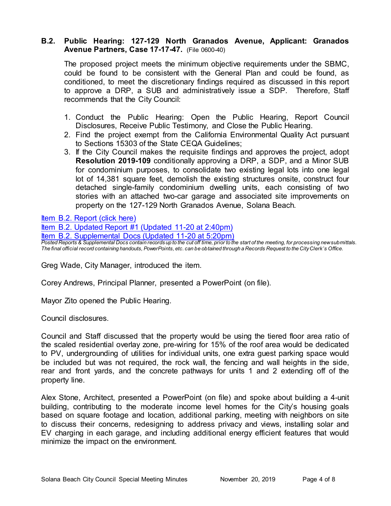## **B.2. Public Hearing: 127-129 North Granados Avenue, Applicant: Granados Avenue Partners, Case 17-17-47.** (File 0600-40)

The proposed project meets the minimum objective requirements under the SBMC, could be found to be consistent with the General Plan and could be found, as conditioned, to meet the discretionary findings required as discussed in this report to approve a DRP, a SUB and administratively issue a SDP. Therefore, Staff recommends that the City Council:

- 1. Conduct the Public Hearing: Open the Public Hearing, Report Council Disclosures, Receive Public Testimony, and Close the Public Hearing.
- 2. Find the project exempt from the California Environmental Quality Act pursuant to Sections 15303 of the State CEQA Guidelines;
- 3. If the City Council makes the requisite findings and approves the project, adopt **Resolution 2019-109** conditionally approving a DRP, a SDP, and a Minor SUB for condominium purposes, to consolidate two existing legal lots into one legal lot of 14,381 square feet, demolish the existing structures onsite, construct four detached single-family condominium dwelling units, each consisting of two stories with an attached two-car garage and associated site improvements on [property on the 127-129 North Granados Avenue, Solana Beach.](https://solanabeach.govoffice3.com/vertical/Sites/%7B840804C2-F869-4904-9AE3-720581350CE7%7D/uploads/Item_B.2._Report_(click_here)_11-20-19_Redacted.pdf)

[Item B.2. Report \(click here\)](https://solanabeach.govoffice3.com/vertical/Sites/%7B840804C2-F869-4904-9AE3-720581350CE7%7D/uploads/Item_B.2._Report_(click_here)_11-20-19_Redacted.pdf) 

[Item B.2. Updated Report #1 \(Updated 11-20 at 2:40pm\)](https://solanabeach.govoffice3.com/vertical/Sites/%7B840804C2-F869-4904-9AE3-720581350CE7%7D/uploads/Item_B.2._Updated_Report_1_-_11-20-19.pdf) [Item B.2. Supplemental Docs \(Updated 11-20](https://solanabeach.govoffice3.com/vertical/Sites/%7B840804C2-F869-4904-9AE3-720581350CE7%7D/uploads/Item_B.2._Supplemental_Items_(Upd._11-19_at_530pm)_-_O.pdf) at 5:20pm) *Posted Reports & Supplemental Docs contain records up to the cut off time, prior to the start of the meeting, for processing new submittals. The final official record containing handouts, PowerPoints, etc. can be obtained through a Records Request to the City Clerk's Office.*

Greg Wade, City Manager, introduced the item.

Corey Andrews, Principal Planner, presented a PowerPoint (on file).

Mayor Zito opened the Public Hearing.

Council disclosures.

Council and Staff discussed that the property would be using the tiered floor area ratio of the scaled residential overlay zone, pre-wiring for 15% of the roof area would be dedicated to PV, undergrounding of utilities for individual units, one extra guest parking space would be included but was not required, the rock wall, the fencing and wall heights in the side, rear and front yards, and the concrete pathways for units 1 and 2 extending off of the property line.

Alex Stone, Architect, presented a PowerPoint (on file) and spoke about building a 4-unit building, contributing to the moderate income level homes for the City's housing goals based on square footage and location, additional parking, meeting with neighbors on site to discuss their concerns, redesigning to address privacy and views, installing solar and EV charging in each garage, and including additional energy efficient features that would minimize the impact on the environment.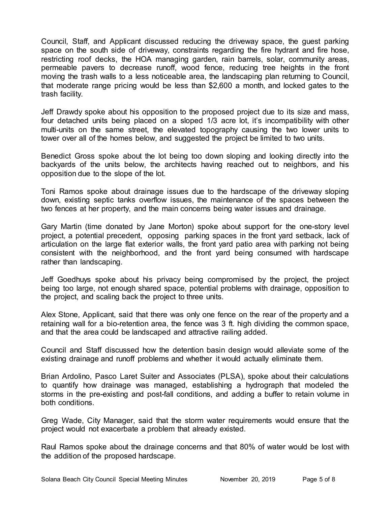Council, Staff, and Applicant discussed reducing the driveway space, the guest parking space on the south side of driveway, constraints regarding the fire hydrant and fire hose, restricting roof decks, the HOA managing garden, rain barrels, solar, community areas, permeable pavers to decrease runoff, wood fence, reducing tree heights in the front moving the trash walls to a less noticeable area, the landscaping plan returning to Council, that moderate range pricing would be less than \$2,600 a month, and locked gates to the trash facility.

Jeff Drawdy spoke about his opposition to the proposed project due to its size and mass, four detached units being placed on a sloped 1/3 acre lot, it's incompatibility with other multi-units on the same street, the elevated topography causing the two lower units to tower over all of the homes below, and suggested the project be limited to two units.

Benedict Gross spoke about the lot being too down sloping and looking directly into the backyards of the units below, the architects having reached out to neighbors, and his opposition due to the slope of the lot.

Toni Ramos spoke about drainage issues due to the hardscape of the driveway sloping down, existing septic tanks overflow issues, the maintenance of the spaces between the two fences at her property, and the main concerns being water issues and drainage.

Gary Martin (time donated by Jane Morton) spoke about support for the one-story level project, a potential precedent, opposing parking spaces in the front yard setback, lack of articulation on the large flat exterior walls, the front yard patio area with parking not being consistent with the neighborhood, and the front yard being consumed with hardscape rather than landscaping.

Jeff Goedhuys spoke about his privacy being compromised by the project, the project being too large, not enough shared space, potential problems with drainage, opposition to the project, and scaling back the project to three units.

Alex Stone, Applicant, said that there was only one fence on the rear of the property and a retaining wall for a bio-retention area, the fence was 3 ft. high dividing the common space, and that the area could be landscaped and attractive railing added.

Council and Staff discussed how the detention basin design would alleviate some of the existing drainage and runoff problems and whether it would actually eliminate them.

Brian Ardolino, Pasco Laret Suiter and Associates (PLSA), spoke about their calculations to quantify how drainage was managed, establishing a hydrograph that modeled the storms in the pre-existing and post-fall conditions, and adding a buffer to retain volume in both conditions.

Greg Wade, City Manager, said that the storm water requirements would ensure that the project would not exacerbate a problem that already existed.

Raul Ramos spoke about the drainage concerns and that 80% of water would be lost with the addition of the proposed hardscape.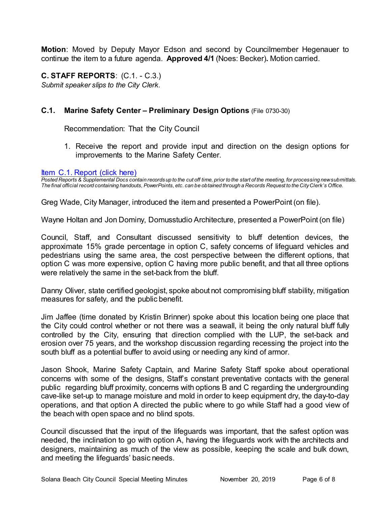**Motion**: Moved by Deputy Mayor Edson and second by Councilmember Hegenauer to continue the item to a future agenda. **Approved 4/1** (Noes: Becker)**.** Motion carried.

**C. STAFF REPORTS**: (C.1. - C.3.) *Submit speaker slips to the City Clerk.*

## **C.1. Marine Safety Center – Preliminary Design Options** (File 0730-30)

Recommendation: That the City Council

1. Receive the report and provide input and direction on the design options for improvements to the Marine Safety Center.

#### [Item C.1. Report \(click here\)](https://solanabeach.govoffice3.com/vertical/Sites/%7B840804C2-F869-4904-9AE3-720581350CE7%7D/uploads/Item_C.1._Report_(click_here)_11-20-19_-_O.pdf)

*Posted Reports & Supplemental Docs contain records up to the cut off time, prior to the start of the meeting, for processing new submittals. The final official record containing handouts, PowerPoints, etc. can be obtained through a Records Request to the City Clerk's Office.*

Greg Wade, City Manager, introduced the item and presented a PowerPoint(on file).

Wayne Holtan and Jon Dominy, Domusstudio Architecture, presented a PowerPoint(on file)

Council, Staff, and Consultant discussed sensitivity to bluff detention devices, the approximate 15% grade percentage in option C, safety concerns of lifeguard vehicles and pedestrians using the same area, the cost perspective between the different options, that option C was more expensive, option C having more public benefit, and that all three options were relatively the same in the set-back from the bluff.

Danny Oliver, state certified geologist, spoke about not compromising bluff stability, mitigation measures for safety, and the public benefit.

Jim Jaffee (time donated by Kristin Brinner) spoke about this location being one place that the City could control whether or not there was a seawall, it being the only natural bluff fully controlled by the City, ensuring that direction complied with the LUP, the set-back and erosion over 75 years, and the workshop discussion regarding recessing the project into the south bluff as a potential buffer to avoid using or needing any kind of armor.

Jason Shook, Marine Safety Captain, and Marine Safety Staff spoke about operational concerns with some of the designs, Staff's constant preventative contacts with the general public regarding bluff proximity, concerns with options B and C regarding the undergrounding cave-like set-up to manage moisture and mold in order to keep equipment dry, the day-to-day operations, and that option A directed the public where to go while Staff had a good view of the beach with open space and no blind spots.

Council discussed that the input of the lifeguards was important, that the safest option was needed, the inclination to go with option A, having the lifeguards work with the architects and designers, maintaining as much of the view as possible, keeping the scale and bulk down, and meeting the lifeguards' basic needs.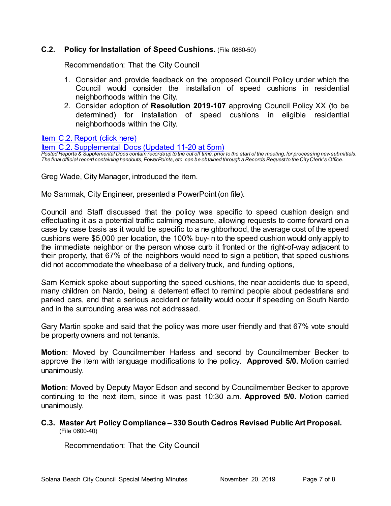## **C.2. Policy for Installation of Speed Cushions.** (File 0860-50)

Recommendation: That the City Council

- 1. Consider and provide feedback on the proposed Council Policy under which the Council would consider the installation of speed cushions in residential neighborhoods within the City.
- 2. Consider adoption of **Resolution 2019-107** approving Council Policy XX (to be determined) for installation of speed cushions in eligible residential neighborhoods within the City.

[Item C.2. Report \(click here\)](https://solanabeach.govoffice3.com/vertical/Sites/%7B840804C2-F869-4904-9AE3-720581350CE7%7D/uploads/Item_C.2._Report_(click_here)_11-20-19_-_O.pdf) 

[Item C.2. Supplemental Docs \(Updated 11-20 at 5pm\)](https://solanabeach.govoffice3.com/vertical/Sites/%7B840804C2-F869-4904-9AE3-720581350CE7%7D/uploads/Item_C.2._Supplemental_Docs_(Upd_11-20).pdf)

*Posted Reports & Supplemental Docs contain records up to the cut off time, prior to the start of the meeting, for processing new submittals. The final official record containing handouts, PowerPoints, etc. can be obtained through a Records Request to the City Clerk's Office.*

Greg Wade, City Manager, introduced the item.

Mo Sammak, City Engineer, presented a PowerPoint(on file).

Council and Staff discussed that the policy was specific to speed cushion design and effectuating it as a potential traffic calming measure, allowing requests to come forward on a case by case basis as it would be specific to a neighborhood, the average cost of the speed cushions were \$5,000 per location, the 100% buy-in to the speed cushion would only apply to the immediate neighbor or the person whose curb it fronted or the right-of-way adjacent to their property, that 67% of the neighbors would need to sign a petition, that speed cushions did not accommodate the wheelbase of a delivery truck, and funding options,

Sam Kernick spoke about supporting the speed cushions, the near accidents due to speed, many children on Nardo, being a deterrent effect to remind people about pedestrians and parked cars, and that a serious accident or fatality would occur if speeding on South Nardo and in the surrounding area was not addressed.

Gary Martin spoke and said that the policy was more user friendly and that 67% vote should be property owners and not tenants.

**Motion**: Moved by Councilmember Harless and second by Councilmember Becker to approve the item with language modifications to the policy. **Approved 5/0.** Motion carried unanimously.

**Motion**: Moved by Deputy Mayor Edson and second by Councilmember Becker to approve continuing to the next item, since it was past 10:30 a.m. **Approved 5/0.** Motion carried unanimously.

#### **C.3. Master Art Policy Compliance – 330 South Cedros Revised Public Art Proposal.** (File 0600-40)

Recommendation: That the City Council